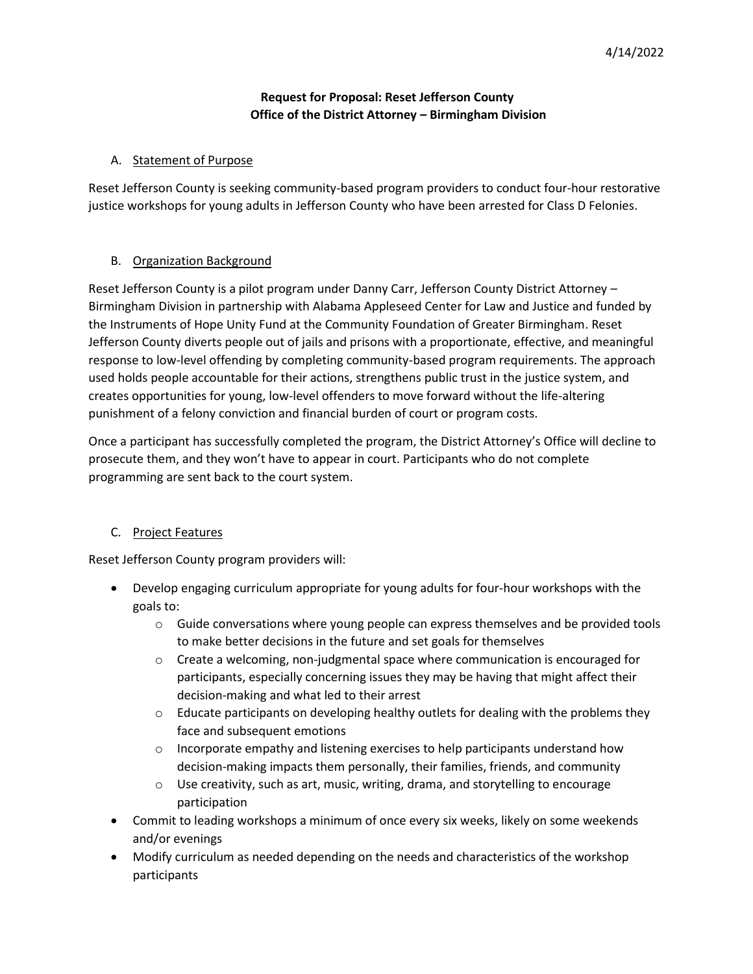## **Request for Proposal: Reset Jefferson County Office of the District Attorney – Birmingham Division**

#### A. Statement of Purpose

Reset Jefferson County is seeking community-based program providers to conduct four-hour restorative justice workshops for young adults in Jefferson County who have been arrested for Class D Felonies.

#### B. Organization Background

Reset Jefferson County is a pilot program under Danny Carr, Jefferson County District Attorney – Birmingham Division in partnership with Alabama Appleseed Center for Law and Justice and funded by the Instruments of Hope Unity Fund at the Community Foundation of Greater Birmingham. Reset Jefferson County diverts people out of jails and prisons with a proportionate, effective, and meaningful response to low-level offending by completing community-based program requirements. The approach used holds people accountable for their actions, strengthens public trust in the justice system, and creates opportunities for young, low-level offenders to move forward without the life-altering punishment of a felony conviction and financial burden of court or program costs.

Once a participant has successfully completed the program, the District Attorney's Office will decline to prosecute them, and they won't have to appear in court. Participants who do not complete programming are sent back to the court system.

## C. Project Features

Reset Jefferson County program providers will:

- Develop engaging curriculum appropriate for young adults for four-hour workshops with the goals to:
	- $\circ$  Guide conversations where young people can express themselves and be provided tools to make better decisions in the future and set goals for themselves
	- o Create a welcoming, non-judgmental space where communication is encouraged for participants, especially concerning issues they may be having that might affect their decision-making and what led to their arrest
	- $\circ$  Educate participants on developing healthy outlets for dealing with the problems they face and subsequent emotions
	- $\circ$  Incorporate empathy and listening exercises to help participants understand how decision-making impacts them personally, their families, friends, and community
	- $\circ$  Use creativity, such as art, music, writing, drama, and storytelling to encourage participation
- Commit to leading workshops a minimum of once every six weeks, likely on some weekends and/or evenings
- Modify curriculum as needed depending on the needs and characteristics of the workshop participants